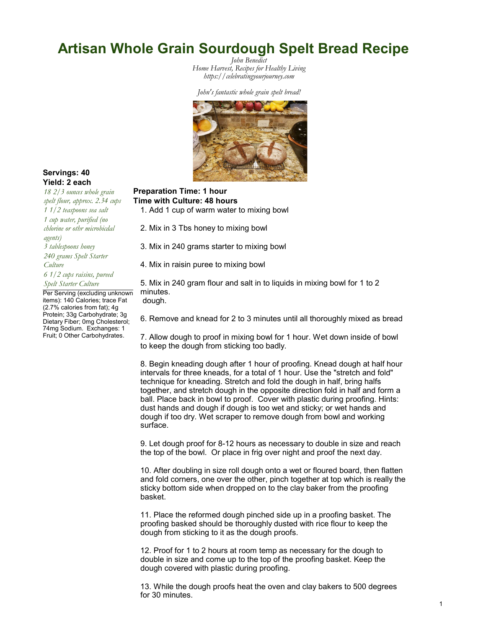# Artisan Whole Grain Sourdough Spelt Bread Recipe

John Benedict *Home Harvest, Recipes for Healthy Living <https://celebratingyourjourney.com>*

John's fantastic whole grain spelt bread!



### Servings: 40 Yield: 2 each

spelt flour, approx. 2.34 cups 1 1/2 teaspoons sea salt 1 cup water, purified (no chlorine or othr microbicdal agents) 3 tablespoons honey 240 grams Spelt Starter Culture 6 1/2 cups raisins, pureed Spelt Starter Culture Per Serving (excluding unknown items): 140 Calories; trace Fat (2.7% calories from fat); 4g

Protein; 33g Carbohydrate; 3g Dietary Fiber; 0mg Cholesterol; 74mg Sodium. Exchanges: 1 Fruit; 0 Other Carbohydrates.

### 18 2/3 ounces whole grain Preparation Time: 1 hour Time with Culture: 48 hours

1. Add 1 cup of warm water to mixing bowl

2. Mix in 3 Tbs honey to mixing bowl

3. Mix in 240 grams starter to mixing bowl

4. Mix in raisin puree to mixing bowl

5. Mix in 240 gram flour and salt in to liquids in mixing bowl for 1 to 2 minutes.

dough.

6. Remove and knead for 2 to 3 minutes until all thoroughly mixed as bread

7. Allow dough to proof in mixing bowl for 1 hour. Wet down inside of bowl to keep the dough from sticking too badly.

8. Begin kneading dough after 1 hour of proofing. Knead dough at half hour intervals for three kneads, for a total of 1 hour. Use the "stretch and fold" technique for kneading. Stretch and fold the dough in half, bring halfs together, and stretch dough in the opposite direction fold in half and form a ball. Place back in bowl to proof. Cover with plastic during proofing. Hints: dust hands and dough if dough is too wet and sticky; or wet hands and dough if too dry. Wet scraper to remove dough from bowl and working surface.

9. Let dough proof for 8-12 hours as necessary to double in size and reach the top of the bowl. Or place in frig over night and proof the next day.

10. After doubling in size roll dough onto a wet or floured board, then flatten and fold corners, one over the other, pinch together at top which is really the sticky bottom side when dropped on to the clay baker from the proofing basket.

11. Place the reformed dough pinched side up in a proofing basket. The proofing basked should be thoroughly dusted with rice flour to keep the dough from sticking to it as the dough proofs.

12. Proof for 1 to 2 hours at room temp as necessary for the dough to double in size and come up to the top of the proofing basket. Keep the dough covered with plastic during proofing.

13. While the dough proofs heat the oven and clay bakers to 500 degrees for 30 minutes.